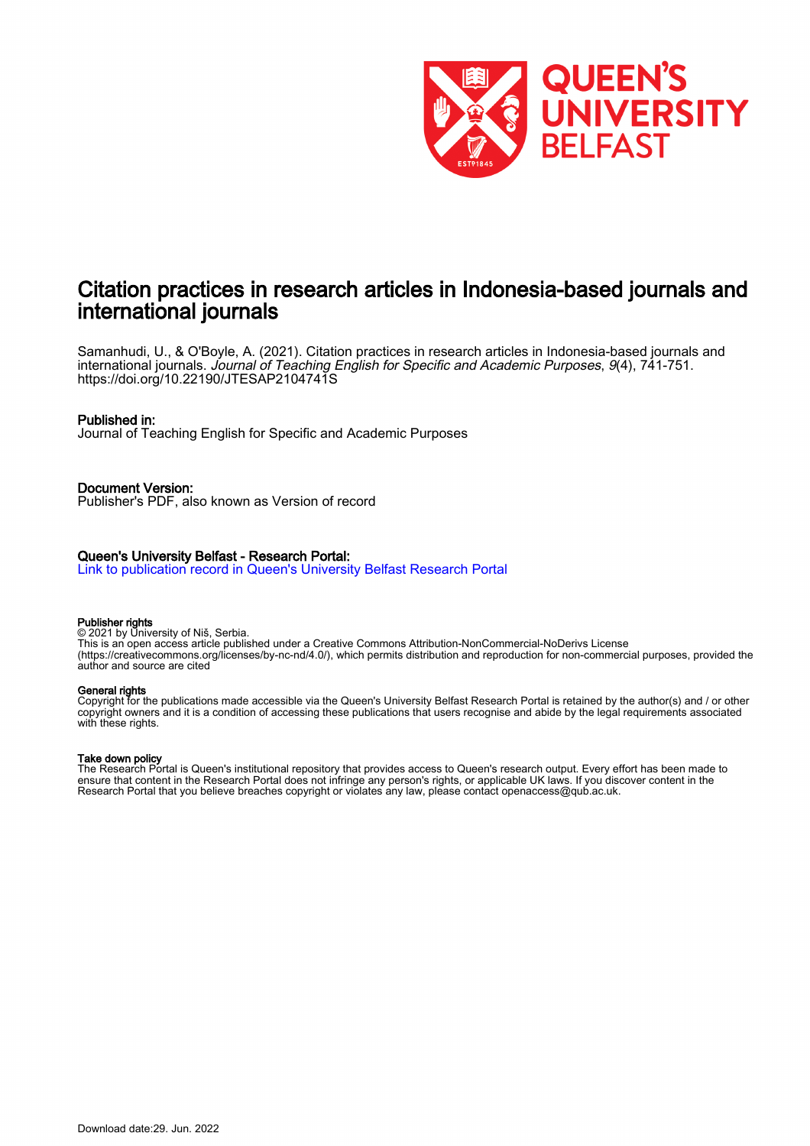

# Citation practices in research articles in Indonesia-based journals and international journals

Samanhudi, U., & O'Boyle, A. (2021). Citation practices in research articles in Indonesia-based journals and international journals. Journal of Teaching English for Specific and Academic Purposes, 9(4), 741-751. <https://doi.org/10.22190/JTESAP2104741S>

# Published in:

Journal of Teaching English for Specific and Academic Purposes

Document Version: Publisher's PDF, also known as Version of record

# Queen's University Belfast - Research Portal:

[Link to publication record in Queen's University Belfast Research Portal](https://pure.qub.ac.uk/en/publications/b1cb83e6-0ff8-432c-b173-8c79d9bc1c55)

## Publisher rights

© 2021 by University of Niš, Serbia. This is an open access article published under a Creative Commons Attribution-NonCommercial-NoDerivs License (https://creativecommons.org/licenses/by-nc-nd/4.0/), which permits distribution and reproduction for non-commercial purposes, provided the author and source are cited

## General rights

Copyright for the publications made accessible via the Queen's University Belfast Research Portal is retained by the author(s) and / or other copyright owners and it is a condition of accessing these publications that users recognise and abide by the legal requirements associated with these rights.

# Take down policy

The Research Portal is Queen's institutional repository that provides access to Queen's research output. Every effort has been made to ensure that content in the Research Portal does not infringe any person's rights, or applicable UK laws. If you discover content in the Research Portal that you believe breaches copyright or violates any law, please contact openaccess@qub.ac.uk.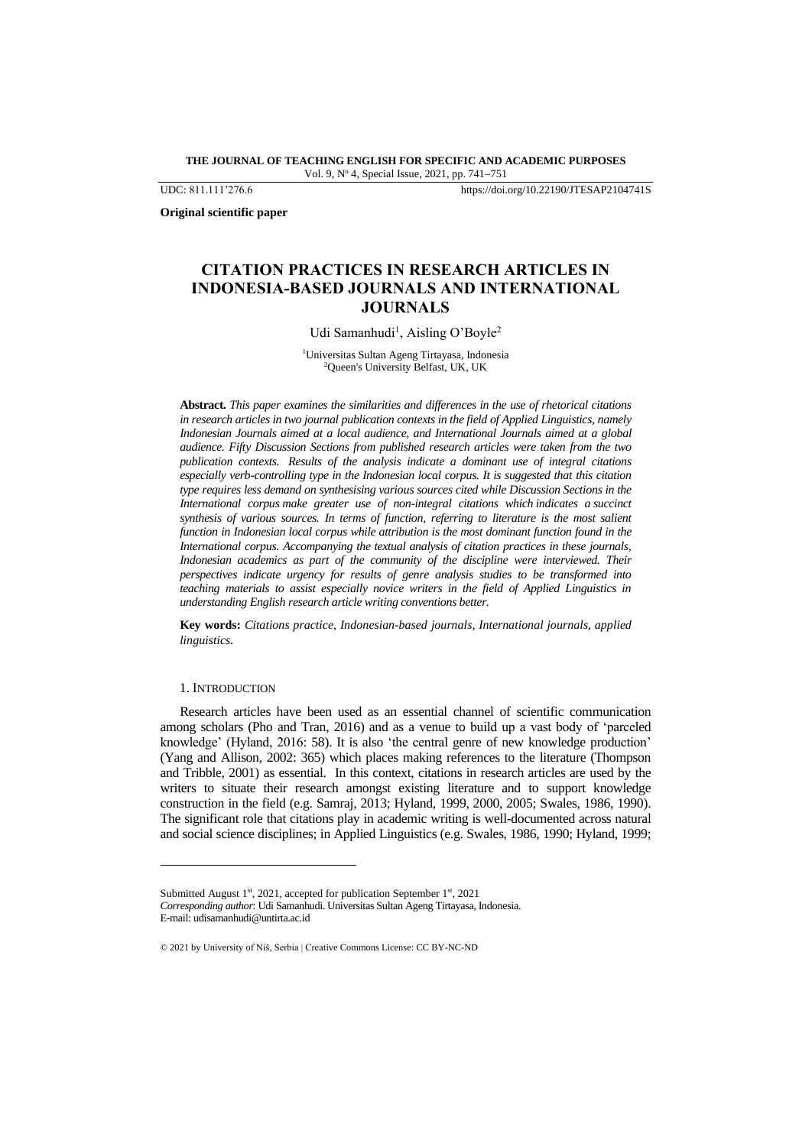**THE JOURNAL OF TEACHING ENGLISH FOR SPECIFIC AND ACADEMIC PURPOSES** Vol. 9, N<sup>o</sup> 4, Special Issue, 2021, pp. 741−751

UDC: 811.111'276.6 https://doi.org/10.22190/JTESAP2104741S

**Original scientific paper**

# **CITATION PRACTICES IN RESEARCH ARTICLES IN INDONESIA-BASED JOURNALS AND INTERNATIONAL JOURNALS**

Udi Samanhudi<sup>1</sup>, Aisling O'Boyle<sup>2</sup>

<sup>1</sup>Universitas Sultan Ageng Tirtayasa, Indonesia <sup>2</sup>Queen's University Belfast, UK, UK

**Abstract.** *This paper examines the similarities and differences in the use of rhetorical citations in research articles in two journal publication contexts in the field of Applied Linguistics, namely Indonesian Journals aimed at a local audience, and International Journals aimed at a global audience. Fifty Discussion Sections from published research articles were taken from the two publication contexts. Results of the analysis indicate a dominant use of integral citations especially verb-controlling type in the Indonesian local corpus. It is suggested that this citation type requires less demand on synthesising various sources cited while Discussion Sections in the International corpus make greater use of non-integral citations which indicates a succinct synthesis of various sources. In terms of function, referring to literature is the most salient function in Indonesian local corpus while attribution is the most dominant function found in the International corpus. Accompanying the textual analysis of citation practices in these journals, Indonesian academics as part of the community of the discipline were interviewed. Their perspectives indicate urgency for results of genre analysis studies to be transformed into teaching materials to assist especially novice writers in the field of Applied Linguistics in understanding English research article writing conventions better.*

**Key words:** *Citations practice, Indonesian-based journals, International journals, applied linguistics.* 

#### 1. INTRODUCTION

Research articles have been used as an essential channel of scientific communication among scholars (Pho and Tran, 2016) and as a venue to build up a vast body of 'parceled knowledge' (Hyland, 2016: 58). It is also 'the central genre of new knowledge production' (Yang and Allison, 2002: 365) which places making references to the literature (Thompson and Tribble, 2001) as essential. In this context, citations in research articles are used by the writers to situate their research amongst existing literature and to support knowledge construction in the field (e.g. Samraj, 2013; Hyland, 1999, 2000, 2005; Swales, 1986, 1990). The significant role that citations play in academic writing is well-documented across natural and social science disciplines; in Applied Linguistics (e.g. Swales, 1986, 1990; Hyland, 1999;

Submitted August 1<sup>st</sup>, 2021, accepted for publication September 1<sup>st</sup>, 2021 *Corresponding author*: Udi Samanhudi. Universitas Sultan Ageng Tirtayasa, Indonesia. E-mail: udisamanhudi@untirta.ac.id

<sup>© 2021</sup> by University of Niš, Serbia | Creative Commons License: CC BY-NC-ND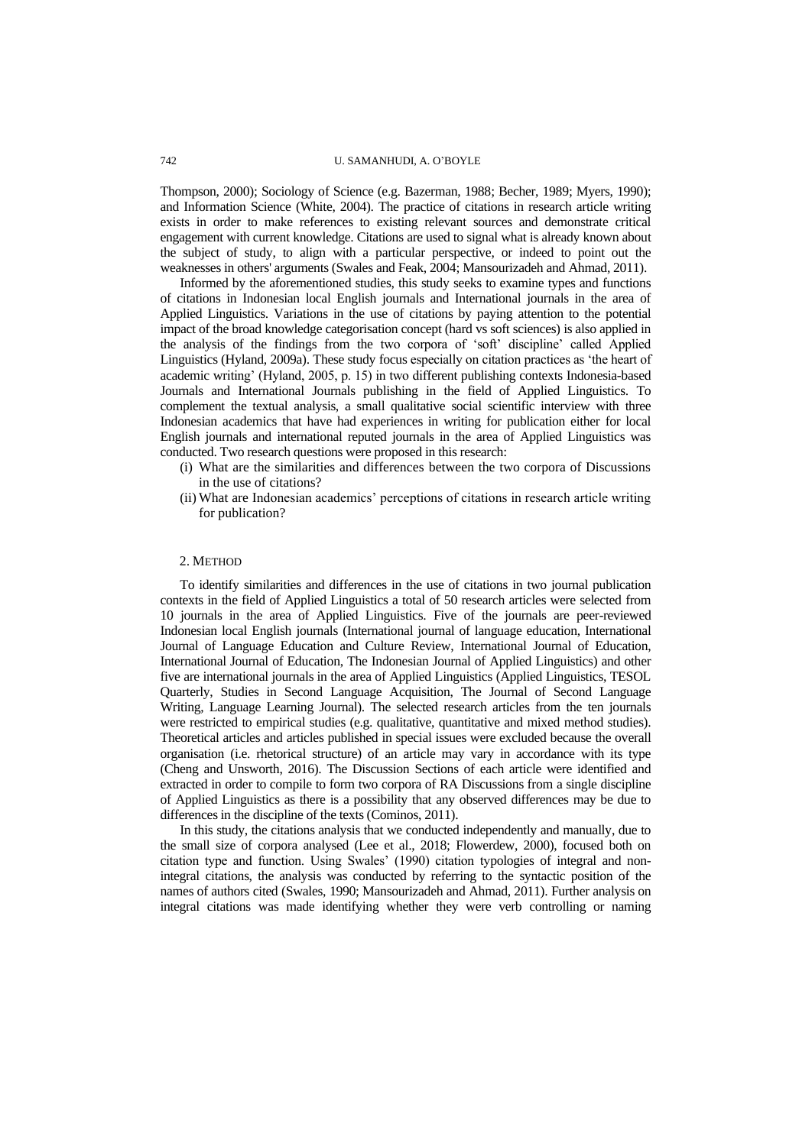# 742 U. SAMANHUDI, A. O'BOYLE

Thompson, 2000); Sociology of Science (e.g. Bazerman, 1988; Becher, 1989; Myers, 1990); and Information Science (White, 2004). The practice of citations in research article writing exists in order to make references to existing relevant sources and demonstrate critical engagement with current knowledge. Citations are used to signal what is already known about the subject of study, to align with a particular perspective, or indeed to point out the weaknesses in others' arguments (Swales and Feak, 2004; Mansourizadeh and Ahmad, 2011).

Informed by the aforementioned studies, this study seeks to examine types and functions of citations in Indonesian local English journals and International journals in the area of Applied Linguistics. Variations in the use of citations by paying attention to the potential impact of the broad knowledge categorisation concept (hard vs soft sciences) is also applied in the analysis of the findings from the two corpora of 'soft' discipline' called Applied Linguistics (Hyland, 2009a). These study focus especially on citation practices as 'the heart of academic writing' (Hyland, 2005, p. 15) in two different publishing contexts Indonesia-based Journals and International Journals publishing in the field of Applied Linguistics. To complement the textual analysis, a small qualitative social scientific interview with three Indonesian academics that have had experiences in writing for publication either for local English journals and international reputed journals in the area of Applied Linguistics was conducted. Two research questions were proposed in this research:

- (i) What are the similarities and differences between the two corpora of Discussions in the use of citations?
- (ii) What are Indonesian academics' perceptions of citations in research article writing for publication?

## 2. METHOD

To identify similarities and differences in the use of citations in two journal publication contexts in the field of Applied Linguistics a total of 50 research articles were selected from 10 journals in the area of Applied Linguistics. Five of the journals are peer-reviewed Indonesian local English journals (International journal of language education, International Journal of Language Education and Culture Review, International Journal of Education, International Journal of Education, The Indonesian Journal of Applied Linguistics) and other five are international journals in the area of Applied Linguistics (Applied Linguistics, TESOL Quarterly, Studies in Second Language Acquisition, The Journal of Second Language Writing, Language Learning Journal). The selected research articles from the ten journals were restricted to empirical studies (e.g. qualitative, quantitative and mixed method studies). Theoretical articles and articles published in special issues were excluded because the overall organisation (i.e. rhetorical structure) of an article may vary in accordance with its type (Cheng and Unsworth, 2016). The Discussion Sections of each article were identified and extracted in order to compile to form two corpora of RA Discussions from a single discipline of Applied Linguistics as there is a possibility that any observed differences may be due to differences in the discipline of the texts (Cominos, 2011).

In this study, the citations analysis that we conducted independently and manually, due to the small size of corpora analysed (Lee et al., 2018; Flowerdew, 2000), focused both on citation type and function. Using Swales' (1990) citation typologies of integral and nonintegral citations, the analysis was conducted by referring to the syntactic position of the names of authors cited (Swales, 1990; Mansourizadeh and Ahmad, 2011). Further analysis on integral citations was made identifying whether they were verb controlling or naming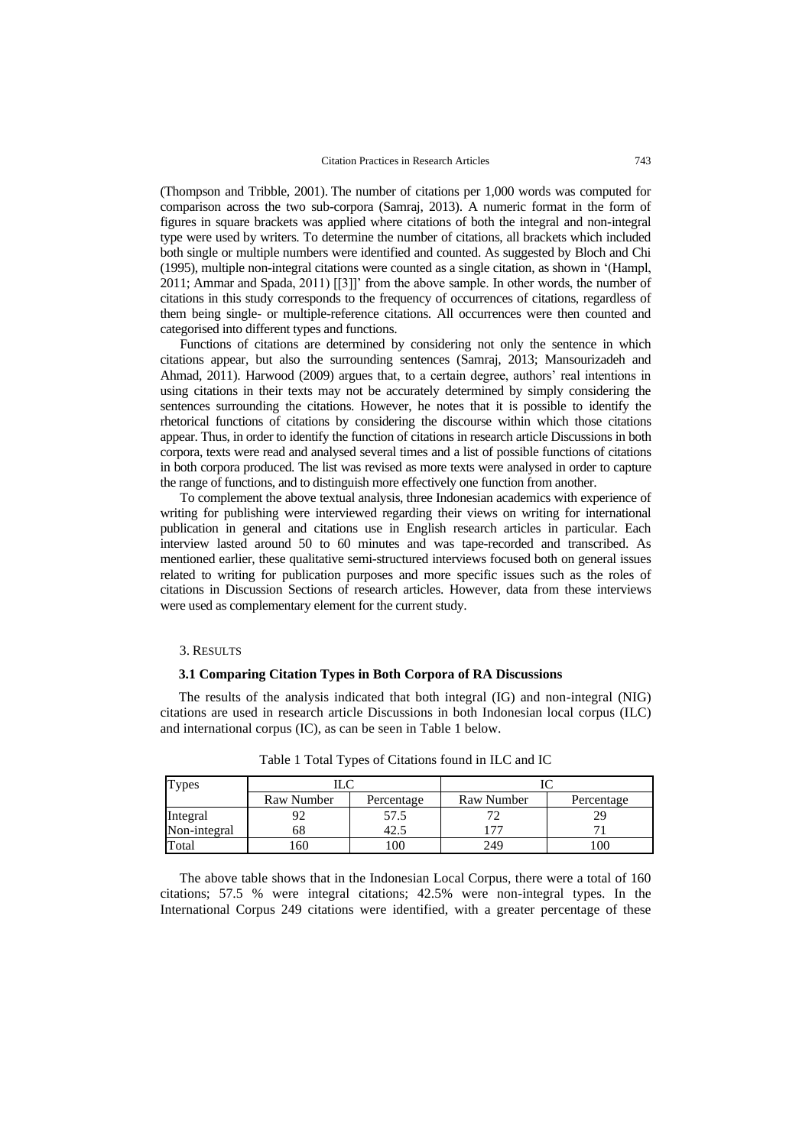(Thompson and Tribble, 2001). The number of citations per 1,000 words was computed for comparison across the two sub-corpora (Samraj, 2013). A numeric format in the form of figures in square brackets was applied where citations of both the integral and non-integral type were used by writers. To determine the number of citations, all brackets which included both single or multiple numbers were identified and counted. As suggested by Bloch and Chi (1995), multiple non-integral citations were counted as a single citation, as shown in '(Hampl, 2011; Ammar and Spada, 2011) [[3]]' from the above sample. In other words, the number of citations in this study corresponds to the frequency of occurrences of citations, regardless of them being single- or multiple-reference citations. All occurrences were then counted and categorised into different types and functions.

Functions of citations are determined by considering not only the sentence in which citations appear, but also the surrounding sentences (Samraj, 2013; Mansourizadeh and Ahmad, 2011). Harwood (2009) argues that, to a certain degree, authors' real intentions in using citations in their texts may not be accurately determined by simply considering the sentences surrounding the citations. However, he notes that it is possible to identify the rhetorical functions of citations by considering the discourse within which those citations appear. Thus, in order to identify the function of citations in research article Discussions in both corpora, texts were read and analysed several times and a list of possible functions of citations in both corpora produced. The list was revised as more texts were analysed in order to capture the range of functions, and to distinguish more effectively one function from another.

To complement the above textual analysis, three Indonesian academics with experience of writing for publishing were interviewed regarding their views on writing for international publication in general and citations use in English research articles in particular. Each interview lasted around 50 to 60 minutes and was tape-recorded and transcribed. As mentioned earlier, these qualitative semi-structured interviews focused both on general issues related to writing for publication purposes and more specific issues such as the roles of citations in Discussion Sections of research articles. However, data from these interviews were used as complementary element for the current study.

## 3. RESULTS

#### **3.1 Comparing Citation Types in Both Corpora of RA Discussions**

The results of the analysis indicated that both integral (IG) and non-integral (NIG) citations are used in research article Discussions in both Indonesian local corpus (ILC) and international corpus (IC), as can be seen in Table 1 below.

| <b>Types</b> | T C        |            |            |            |
|--------------|------------|------------|------------|------------|
|              | Raw Number | Percentage | Raw Number | Percentage |
| Integral     |            | 57.5       | 70         |            |
| Non-integral | 68         | 42.5       | 77         |            |
| Total        | . 60       | .00        | 249        | 100        |

Table 1 Total Types of Citations found in ILC and IC

The above table shows that in the Indonesian Local Corpus, there were a total of 160 citations; 57.5 % were integral citations; 42.5% were non-integral types. In the International Corpus 249 citations were identified, with a greater percentage of these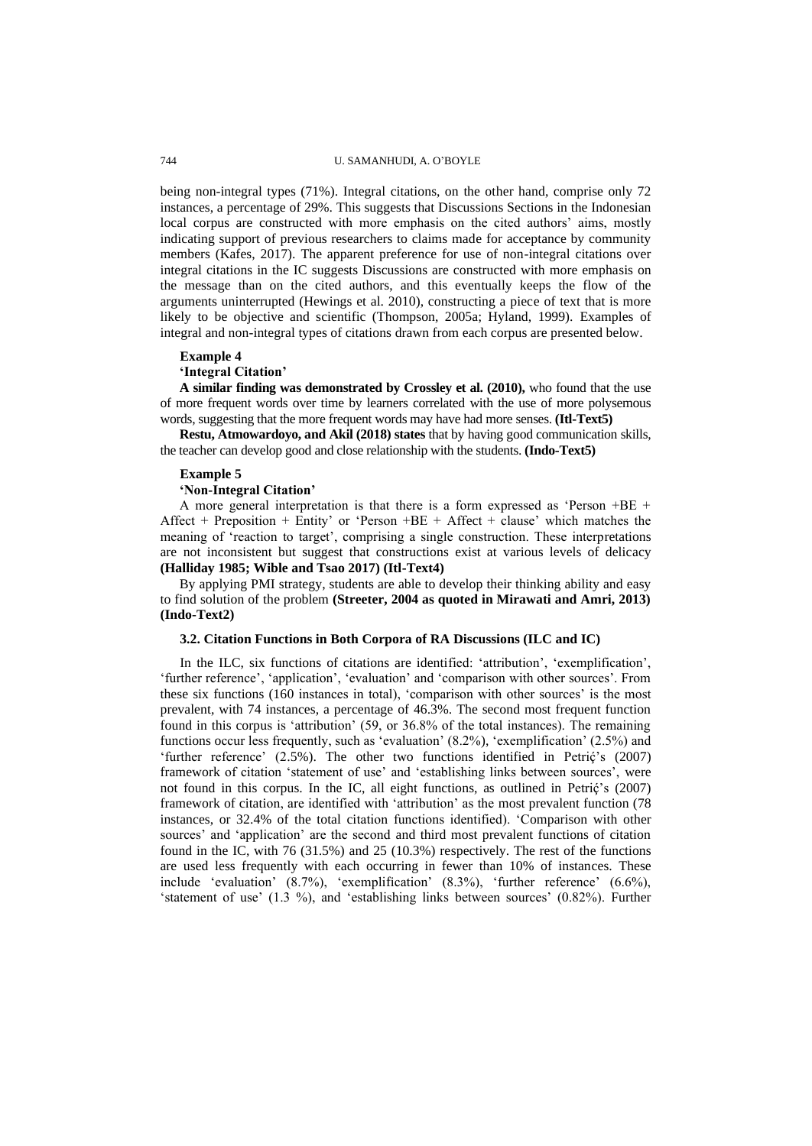being non-integral types (71%). Integral citations, on the other hand, comprise only 72 instances, a percentage of 29%. This suggests that Discussions Sections in the Indonesian local corpus are constructed with more emphasis on the cited authors' aims, mostly indicating support of previous researchers to claims made for acceptance by community members (Kafes, 2017). The apparent preference for use of non-integral citations over integral citations in the IC suggests Discussions are constructed with more emphasis on the message than on the cited authors, and this eventually keeps the flow of the arguments uninterrupted (Hewings et al. 2010), constructing a piece of text that is more likely to be objective and scientific (Thompson, 2005a; Hyland, 1999). Examples of integral and non-integral types of citations drawn from each corpus are presented below.

#### **Example 4**

#### **'Integral Citation'**

**A similar finding was demonstrated by Crossley et al. (2010),** who found that the use of more frequent words over time by learners correlated with the use of more polysemous words, suggesting that the more frequent words may have had more senses. **(Itl-Text5)**

**Restu, Atmowardoyo, and Akil (2018) states** that by having good communication skills, the teacher can develop good and close relationship with the students. **(Indo-Text5)**

#### **Example 5**

#### **'Non-Integral Citation'**

A more general interpretation is that there is a form expressed as 'Person +BE + Affect + Preposition + Entity' or 'Person +BE + Affect + clause' which matches the meaning of 'reaction to target', comprising a single construction. These interpretations are not inconsistent but suggest that constructions exist at various levels of delicacy **(Halliday 1985; Wible and Tsao 2017) (Itl-Text4)**

By applying PMI strategy, students are able to develop their thinking ability and easy to find solution of the problem **(Streeter, 2004 as quoted in Mirawati and Amri, 2013) (Indo-Text2)**

# **3.2. Citation Functions in Both Corpora of RA Discussions (ILC and IC)**

In the ILC, six functions of citations are identified: 'attribution', 'exemplification', 'further reference', 'application', 'evaluation' and 'comparison with other sources'. From these six functions (160 instances in total), 'comparison with other sources' is the most prevalent, with 74 instances, a percentage of 46.3%. The second most frequent function found in this corpus is 'attribution' (59, or 36.8% of the total instances). The remaining functions occur less frequently, such as 'evaluation' (8.2%), 'exemplification' (2.5%) and 'further reference'  $(2.5\%)$ . The other two functions identified in Petri $\zeta$ 's  $(2007)$ framework of citation 'statement of use' and 'establishing links between sources', were not found in this corpus. In the IC, all eight functions, as outlined in Petrić's (2007) framework of citation, are identified with 'attribution' as the most prevalent function (78 instances, or 32.4% of the total citation functions identified). 'Comparison with other sources' and 'application' are the second and third most prevalent functions of citation found in the IC, with 76 (31.5%) and 25 (10.3%) respectively. The rest of the functions are used less frequently with each occurring in fewer than 10% of instances. These include 'evaluation' (8.7%), 'exemplification' (8.3%), 'further reference' (6.6%), 'statement of use' (1.3 %), and 'establishing links between sources' (0.82%). Further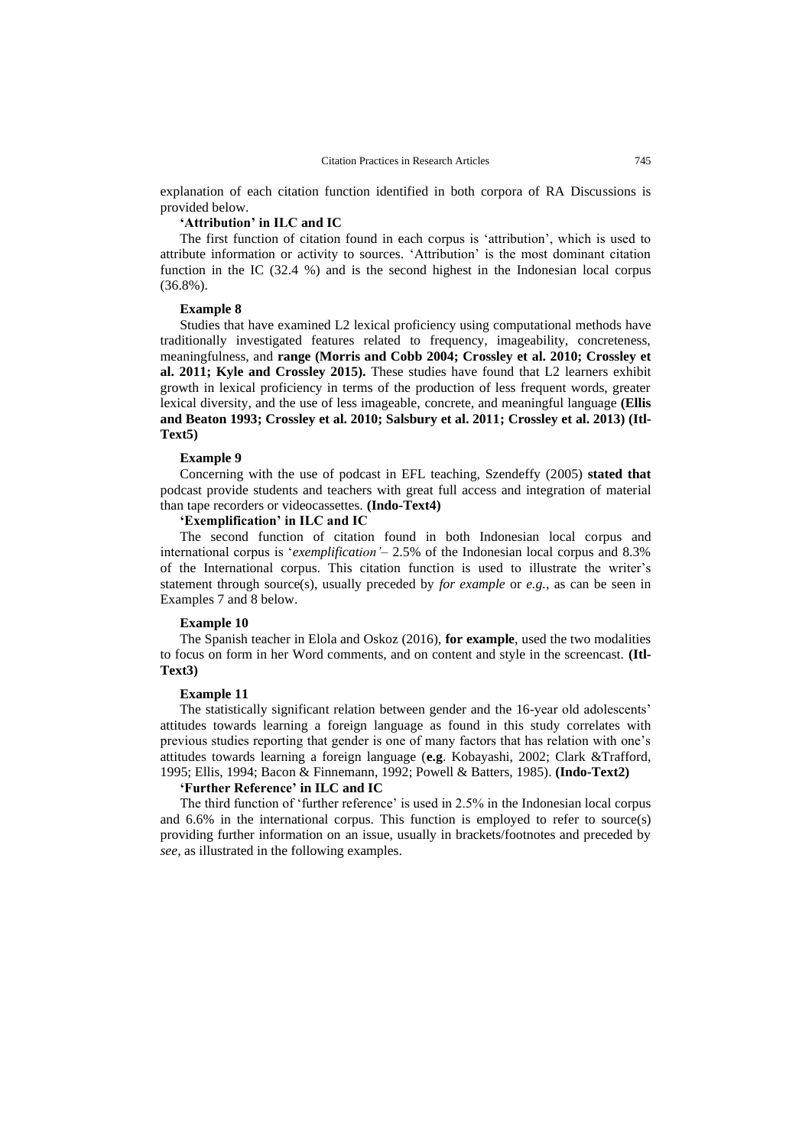explanation of each citation function identified in both corpora of RA Discussions is provided below.

# **'Attribution' in ILC and IC**

The first function of citation found in each corpus is 'attribution', which is used to attribute information or activity to sources. 'Attribution' is the most dominant citation function in the IC (32.4 %) and is the second highest in the Indonesian local corpus (36.8%).

## **Example 8**

Studies that have examined L2 lexical proficiency using computational methods have traditionally investigated features related to frequency, imageability, concreteness, meaningfulness, and **range (Morris and Cobb 2004; Crossley et al. 2010; Crossley et al. 2011; Kyle and Crossley 2015).** These studies have found that L2 learners exhibit growth in lexical proficiency in terms of the production of less frequent words, greater lexical diversity, and the use of less imageable, concrete, and meaningful language **(Ellis and Beaton 1993; Crossley et al. 2010; Salsbury et al. 2011; Crossley et al. 2013) (Itl-Text5)**

#### **Example 9**

Concerning with the use of podcast in EFL teaching, Szendeffy (2005) **stated that** podcast provide students and teachers with great full access and integration of material than tape recorders or videocassettes. **(Indo-Text4)**

# **'Exemplification' in ILC and IC**

The second function of citation found in both Indonesian local corpus and international corpus is '*exemplification'*– 2.5% of the Indonesian local corpus and 8.3% of the International corpus. This citation function is used to illustrate the writer's statement through source(s), usually preceded by *for example* or *e.g.*, as can be seen in Examples 7 and 8 below.

# **Example 10**

The Spanish teacher in Elola and Oskoz (2016), **for example**, used the two modalities to focus on form in her Word comments, and on content and style in the screencast. **(Itl-Text3)**

#### **Example 11**

The statistically significant relation between gender and the 16-year old adolescents' attitudes towards learning a foreign language as found in this study correlates with previous studies reporting that gender is one of many factors that has relation with one's attitudes towards learning a foreign language (**e.g**. Kobayashi, 2002; Clark &Trafford, 1995; Ellis, 1994; Bacon & Finnemann, 1992; Powell & Batters, 1985). **(Indo-Text2)**

# **'Further Reference' in ILC and IC**

The third function of 'further reference' is used in 2.5% in the Indonesian local corpus and 6.6% in the international corpus. This function is employed to refer to source(s) providing further information on an issue, usually in brackets/footnotes and preceded by *see*, as illustrated in the following examples.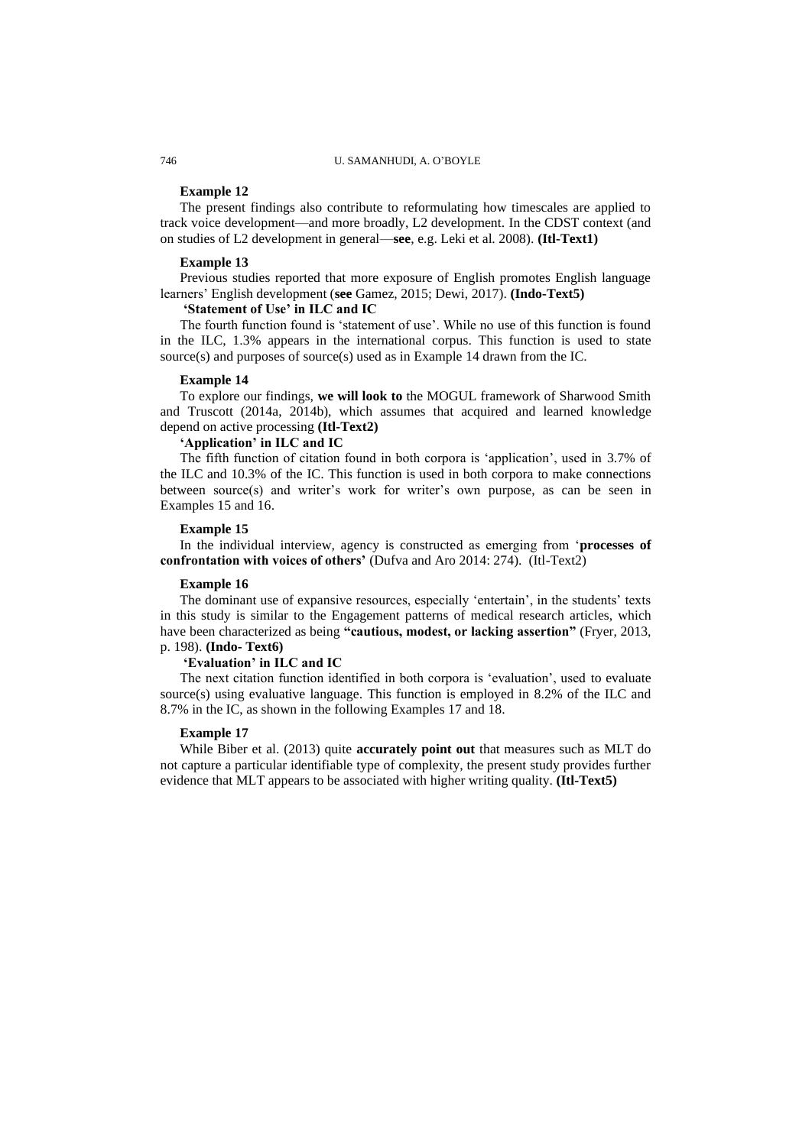# 746 U. SAMANHUDI, A. O'BOYLE

## **Example 12**

The present findings also contribute to reformulating how timescales are applied to track voice development—and more broadly, L2 development. In the CDST context (and on studies of L2 development in general—**see**, e.g. Leki et al. 2008). **(Itl-Text1)**

# **Example 13**

Previous studies reported that more exposure of English promotes English language learners' English development (**see** Gamez, 2015; Dewi, 2017). **(Indo-Text5)**

# **'Statement of Use' in ILC and IC**

The fourth function found is 'statement of use'. While no use of this function is found in the ILC, 1.3% appears in the international corpus. This function is used to state source(s) and purposes of source(s) used as in Example 14 drawn from the IC.

### **Example 14**

To explore our findings, **we will look to** the MOGUL framework of Sharwood Smith and Truscott (2014a, 2014b), which assumes that acquired and learned knowledge depend on active processing **(Itl-Text2)**

# **'Application' in ILC and IC**

The fifth function of citation found in both corpora is 'application', used in 3.7% of the ILC and 10.3% of the IC. This function is used in both corpora to make connections between source(s) and writer's work for writer's own purpose, as can be seen in Examples 15 and 16.

## **Example 15**

In the individual interview, agency is constructed as emerging from '**processes of confrontation with voices of others'** (Dufva and Aro 2014: 274). (Itl-Text2)

# **Example 16**

The dominant use of expansive resources, especially 'entertain', in the students' texts in this study is similar to the Engagement patterns of medical research articles, which have been characterized as being **"cautious, modest, or lacking assertion"** (Fryer, 2013, p. 198). **(Indo- Text6)**

## **'Evaluation' in ILC and IC**

The next citation function identified in both corpora is 'evaluation', used to evaluate source(s) using evaluative language. This function is employed in  $8.2\%$  of the ILC and 8.7% in the IC, as shown in the following Examples 17 and 18.

### **Example 17**

While Biber et al. (2013) quite **accurately point out** that measures such as MLT do not capture a particular identifiable type of complexity, the present study provides further evidence that MLT appears to be associated with higher writing quality. **(Itl-Text5)**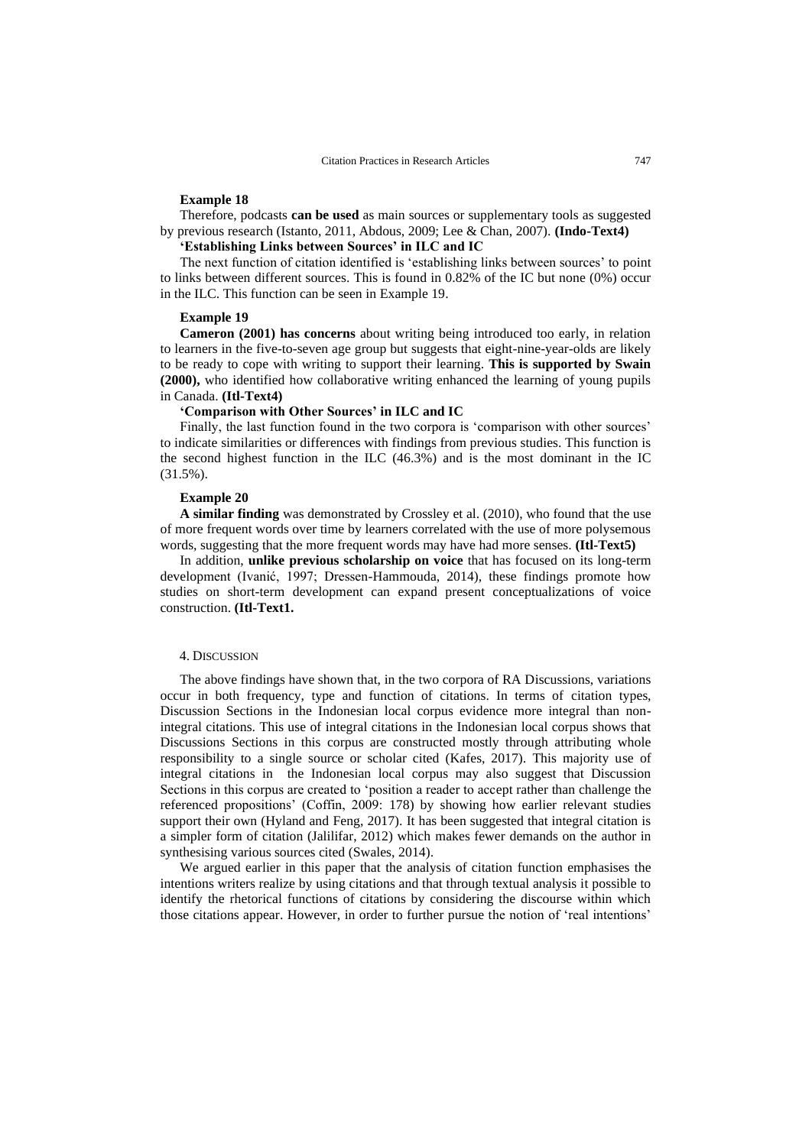# **Example 18**

Therefore, podcasts **can be used** as main sources or supplementary tools as suggested by previous research (Istanto, 2011, Abdous, 2009; Lee & Chan, 2007). **(Indo-Text4)**

## **'Establishing Links between Sources' in ILC and IC**

The next function of citation identified is 'establishing links between sources' to point to links between different sources. This is found in 0.82% of the IC but none (0%) occur in the ILC. This function can be seen in Example 19.

## **Example 19**

**Cameron (2001) has concerns** about writing being introduced too early, in relation to learners in the five-to-seven age group but suggests that eight-nine-year-olds are likely to be ready to cope with writing to support their learning. **This is supported by Swain (2000),** who identified how collaborative writing enhanced the learning of young pupils in Canada. **(Itl-Text4)**

# **'Comparison with Other Sources' in ILC and IC**

Finally, the last function found in the two corpora is 'comparison with other sources' to indicate similarities or differences with findings from previous studies. This function is the second highest function in the ILC (46.3%) and is the most dominant in the IC (31.5%).

# **Example 20**

**A similar finding** was demonstrated by Crossley et al. (2010), who found that the use of more frequent words over time by learners correlated with the use of more polysemous words, suggesting that the more frequent words may have had more senses. **(Itl-Text5)**

In addition, **unlike previous scholarship on voice** that has focused on its long-term development (Ivanić, 1997; Dressen-Hammouda, 2014), these findings promote how studies on short-term development can expand present conceptualizations of voice construction. **(Itl-Text1.**

#### 4. DISCUSSION

The above findings have shown that, in the two corpora of RA Discussions, variations occur in both frequency, type and function of citations. In terms of citation types, Discussion Sections in the Indonesian local corpus evidence more integral than nonintegral citations. This use of integral citations in the Indonesian local corpus shows that Discussions Sections in this corpus are constructed mostly through attributing whole responsibility to a single source or scholar cited (Kafes, 2017). This majority use of integral citations in the Indonesian local corpus may also suggest that Discussion Sections in this corpus are created to 'position a reader to accept rather than challenge the referenced propositions' (Coffin, 2009: 178) by showing how earlier relevant studies support their own (Hyland and Feng, 2017). It has been suggested that integral citation is a simpler form of citation (Jalilifar, 2012) which makes fewer demands on the author in synthesising various sources cited (Swales, 2014).

We argued earlier in this paper that the analysis of citation function emphasises the intentions writers realize by using citations and that through textual analysis it possible to identify the rhetorical functions of citations by considering the discourse within which those citations appear. However, in order to further pursue the notion of 'real intentions'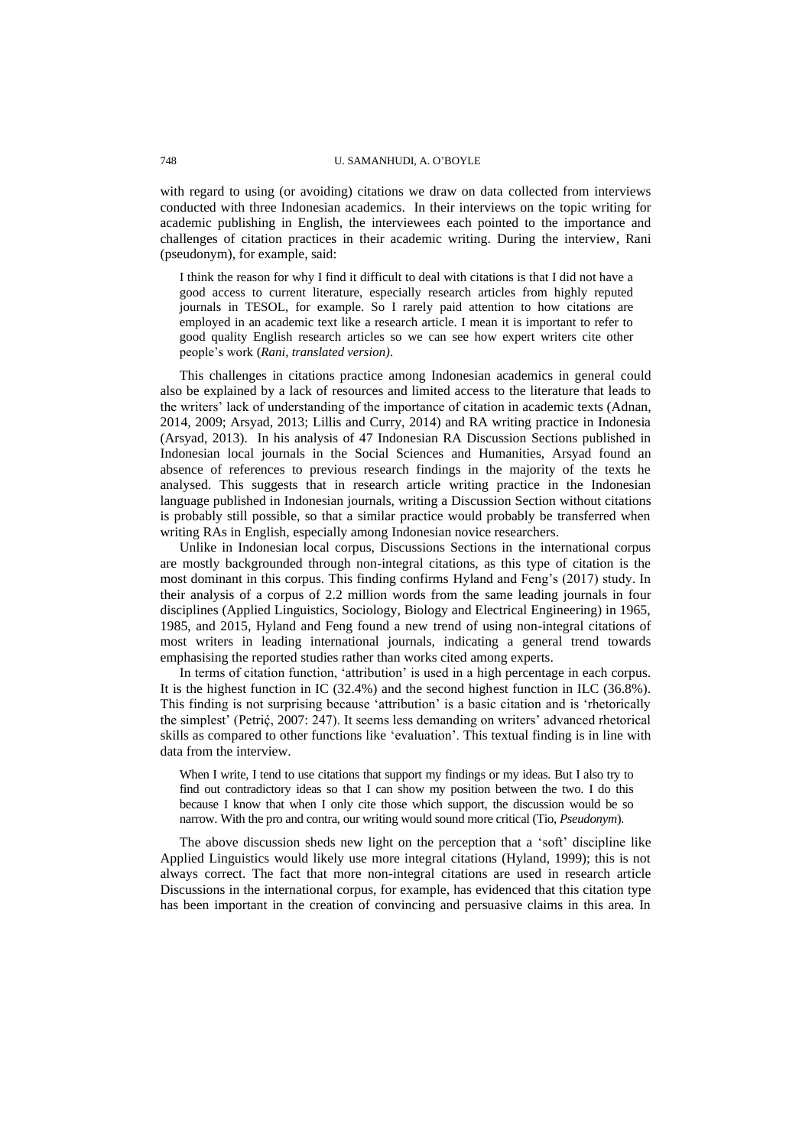with regard to using (or avoiding) citations we draw on data collected from interviews conducted with three Indonesian academics. In their interviews on the topic writing for academic publishing in English, the interviewees each pointed to the importance and challenges of citation practices in their academic writing. During the interview, Rani (pseudonym), for example, said:

I think the reason for why I find it difficult to deal with citations is that I did not have a good access to current literature, especially research articles from highly reputed journals in TESOL, for example. So I rarely paid attention to how citations are employed in an academic text like a research article. I mean it is important to refer to good quality English research articles so we can see how expert writers cite other people's work (*Rani, translated version)*.

This challenges in citations practice among Indonesian academics in general could also be explained by a lack of resources and limited access to the literature that leads to the writers' lack of understanding of the importance of citation in academic texts (Adnan, 2014, 2009; Arsyad, 2013; Lillis and Curry, 2014) and RA writing practice in Indonesia (Arsyad, 2013). In his analysis of 47 Indonesian RA Discussion Sections published in Indonesian local journals in the Social Sciences and Humanities, Arsyad found an absence of references to previous research findings in the majority of the texts he analysed. This suggests that in research article writing practice in the Indonesian language published in Indonesian journals, writing a Discussion Section without citations is probably still possible, so that a similar practice would probably be transferred when writing RAs in English, especially among Indonesian novice researchers.

Unlike in Indonesian local corpus, Discussions Sections in the international corpus are mostly backgrounded through non-integral citations, as this type of citation is the most dominant in this corpus. This finding confirms Hyland and Feng's (2017) study. In their analysis of a corpus of 2.2 million words from the same leading journals in four disciplines (Applied Linguistics, Sociology, Biology and Electrical Engineering) in 1965, 1985, and 2015, Hyland and Feng found a new trend of using non-integral citations of most writers in leading international journals, indicating a general trend towards emphasising the reported studies rather than works cited among experts.

In terms of citation function, 'attribution' is used in a high percentage in each corpus. It is the highest function in IC (32.4%) and the second highest function in ILC (36.8%). This finding is not surprising because 'attribution' is a basic citation and is 'rhetorically the simplest' (Petrić, 2007: 247). It seems less demanding on writers' advanced rhetorical skills as compared to other functions like 'evaluation'. This textual finding is in line with data from the interview.

When I write, I tend to use citations that support my findings or my ideas. But I also try to find out contradictory ideas so that I can show my position between the two. I do this because I know that when I only cite those which support, the discussion would be so narrow. With the pro and contra, our writing would sound more critical (Tio, *Pseudonym*).

The above discussion sheds new light on the perception that a 'soft' discipline like Applied Linguistics would likely use more integral citations (Hyland, 1999); this is not always correct. The fact that more non-integral citations are used in research article Discussions in the international corpus, for example, has evidenced that this citation type has been important in the creation of convincing and persuasive claims in this area. In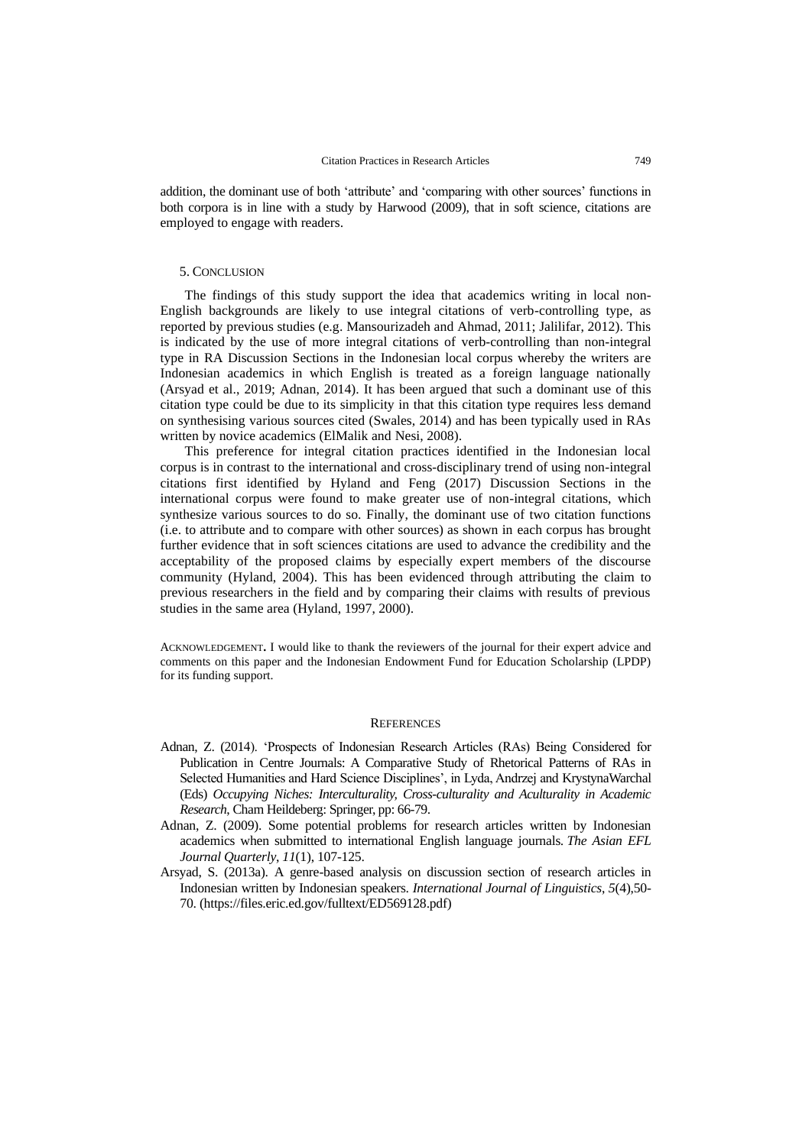addition, the dominant use of both 'attribute' and 'comparing with other sources' functions in both corpora is in line with a study by Harwood (2009), that in soft science, citations are employed to engage with readers.

# 5. CONCLUSION

The findings of this study support the idea that academics writing in local non-English backgrounds are likely to use integral citations of verb-controlling type, as reported by previous studies (e.g. Mansourizadeh and Ahmad, 2011; Jalilifar, 2012). This is indicated by the use of more integral citations of verb-controlling than non-integral type in RA Discussion Sections in the Indonesian local corpus whereby the writers are Indonesian academics in which English is treated as a foreign language nationally (Arsyad et al., 2019; Adnan, 2014). It has been argued that such a dominant use of this citation type could be due to its simplicity in that this citation type requires less demand on synthesising various sources cited (Swales, 2014) and has been typically used in RAs written by novice academics (ElMalik and Nesi, 2008).

This preference for integral citation practices identified in the Indonesian local corpus is in contrast to the international and cross-disciplinary trend of using non-integral citations first identified by Hyland and Feng (2017) Discussion Sections in the international corpus were found to make greater use of non-integral citations, which synthesize various sources to do so. Finally, the dominant use of two citation functions (i.e. to attribute and to compare with other sources) as shown in each corpus has brought further evidence that in soft sciences citations are used to advance the credibility and the acceptability of the proposed claims by especially expert members of the discourse community (Hyland, 2004). This has been evidenced through attributing the claim to previous researchers in the field and by comparing their claims with results of previous studies in the same area (Hyland, 1997, 2000).

ACKNOWLEDGEMENT**.** I would like to thank the reviewers of the journal for their expert advice and comments on this paper and the Indonesian Endowment Fund for Education Scholarship (LPDP) for its funding support.

# **REFERENCES**

- Adnan, Z. (2014). 'Prospects of Indonesian Research Articles (RAs) Being Considered for Publication in Centre Journals: A Comparative Study of Rhetorical Patterns of RAs in Selected Humanities and Hard Science Disciplines', in Lyda, Andrzej and KrystynaWarchal (Eds) *Occupying Niches: Interculturality, Cross-culturality and Aculturality in Academic Research*, Cham Heildeberg: Springer, pp: 66-79.
- Adnan, Z. (2009). Some potential problems for research articles written by Indonesian academics when submitted to international English language journals. *The Asian EFL Journal Quarterly*, *11*(1), 107-125.
- Arsyad, S. (2013a). A genre-based analysis on discussion section of research articles in Indonesian written by Indonesian speakers. *International Journal of Linguistics*, *5*(4),50- 70. (https://files.eric.ed.gov/fulltext/ED569128.pdf)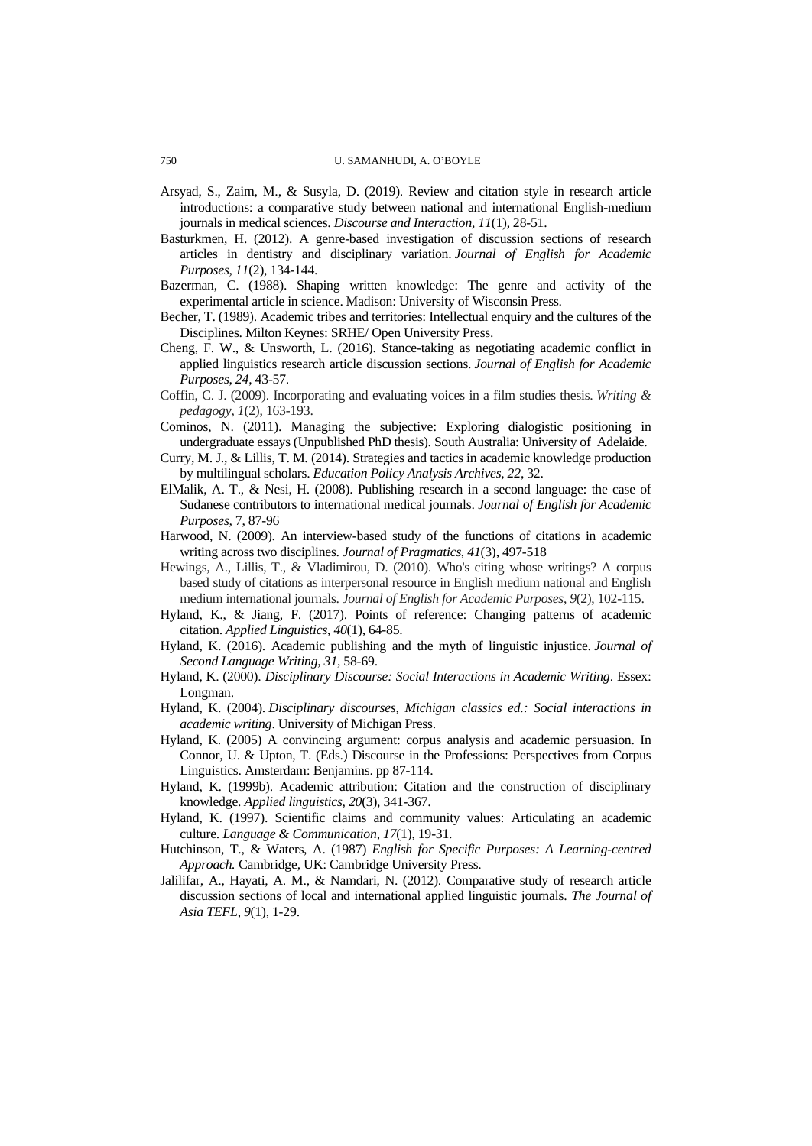#### 750 U. SAMANHUDI, A. O'BOYLE

- Arsyad, S., Zaim, M., & Susyla, D. (2019). Review and citation style in research article introductions: a comparative study between national and international English-medium journals in medical sciences. *Discourse and Interaction*, *11*(1), 28-51.
- Basturkmen, H. (2012). A genre-based investigation of discussion sections of research articles in dentistry and disciplinary variation. *Journal of English for Academic Purposes*, *11*(2), 134-144.
- Bazerman, C. (1988). Shaping written knowledge: The genre and activity of the experimental article in science. Madison: University of Wisconsin Press.
- Becher, T. (1989). Academic tribes and territories: Intellectual enquiry and the cultures of the Disciplines. Milton Keynes: SRHE/ Open University Press.
- Cheng, F. W., & Unsworth, L. (2016). Stance-taking as negotiating academic conflict in applied linguistics research article discussion sections. *Journal of English for Academic Purposes*, *24*, 43-57.
- Coffin, C. J. (2009). Incorporating and evaluating voices in a film studies thesis. *Writing & pedagogy*, *1*(2), 163-193.
- Cominos, N. (2011). Managing the subjective: Exploring dialogistic positioning in undergraduate essays (Unpublished PhD thesis). South Australia: University of Adelaide.
- Curry, M. J., & Lillis, T. M. (2014). Strategies and tactics in academic knowledge production by multilingual scholars. *Education Policy Analysis Archives*, *22*, 32.
- ElMalik, A. T., & Nesi, H. (2008). Publishing research in a second language: the case of Sudanese contributors to international medical journals. *Journal of English for Academic Purposes,* 7, 87-96
- Harwood, N. (2009). An interview-based study of the functions of citations in academic writing across two disciplines. *Journal of Pragmatics*, *41*(3), 497-518
- Hewings, A., Lillis, T., & Vladimirou, D. (2010). Who's citing whose writings? A corpus based study of citations as interpersonal resource in English medium national and English medium international journals. *Journal of English for Academic Purposes*, *9*(2), 102-115.
- Hyland, K., & Jiang, F. (2017). Points of reference: Changing patterns of academic citation. *Applied Linguistics*, *40*(1), 64-85.
- Hyland, K. (2016). Academic publishing and the myth of linguistic injustice. *Journal of Second Language Writing*, *31*, 58-69.
- Hyland, K. (2000). *Disciplinary Discourse: Social Interactions in Academic Writing*. Essex: Longman.
- Hyland, K. (2004). *Disciplinary discourses, Michigan classics ed.: Social interactions in academic writing*. University of Michigan Press.
- Hyland, K. (2005) A convincing argument: corpus analysis and academic persuasion. In Connor, U. & Upton, T. (Eds.) Discourse in the Professions: Perspectives from Corpus Linguistics. Amsterdam: Benjamins. pp 87-114.
- Hyland, K. (1999b). Academic attribution: Citation and the construction of disciplinary knowledge. *Applied linguistics*, *20*(3), 341-367.
- Hyland, K. (1997). Scientific claims and community values: Articulating an academic culture. *Language & Communication, 17*(1), 19-31.
- Hutchinson, T., & Waters, A. (1987) *English for Specific Purposes: A Learning-centred Approach.* Cambridge, UK: Cambridge University Press.
- Jalilifar, A., Hayati, A. M., & Namdari, N. (2012). Comparative study of research article discussion sections of local and international applied linguistic journals. *The Journal of Asia TEFL*, *9*(1), 1-29.